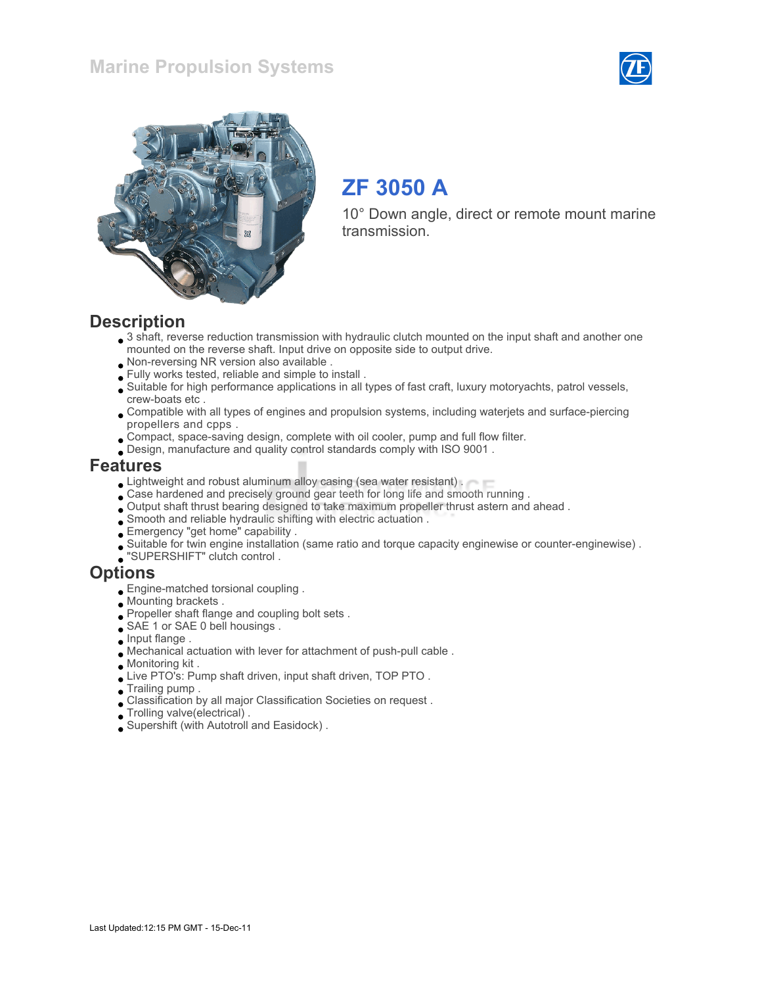



# ZF 3050 A

10° Down angle, direct or remote mount marine transmission.

#### **Description**

- 3 shaft, reverse reduction transmission with hydraulic clutch mounted on the input shaft and another one mounted on the reverse shaft. Input drive on opposite side to output drive.
- Non-reversing NR version also available .
- Fully works tested, reliable and simple to install .
- Suitable for high performance applications in all types of fast craft, luxury motoryachts, patrol vessels, crew-boats etc .
- Compatible with all types of engines and propulsion systems, including waterjets and surface-piercing propellers and cpps .
- Compact, space-saving design, complete with oil cooler, pump and full flow filter.
- Design, manufacture and quality control standards comply with ISO 9001 .

#### Features

- **Lightweight and robust aluminum alloy casing (sea water resistant).**
- Case hardened and precisely ground gear teeth for long life and smooth running .
- Output shaft thrust bearing designed to take maximum propeller thrust astern and ahead .
- Smooth and reliable hydraulic shifting with electric actuation .
- Emergency "get home" capability .
- Suitable for twin engine installation (same ratio and torque capacity enginewise or counter-enginewise) .
- "SUPERSHIFT" clutch control .

#### **Options**

- Engine-matched torsional coupling .
- Mounting brackets .
- Propeller shaft flange and coupling bolt sets .
- SAE 1 or SAE 0 bell housings.
- $\Box$  Input flange .
- Mechanical actuation with lever for attachment of push-pull cable .
- Monitoring kit .
- Live PTO's: Pump shaft driven, input shaft driven, TOP PTO .
- Trailing pump .
- Classification by all major Classification Societies on request .
- Trolling valve(electrical) .
- Supershift (with Autotroll and Easidock) .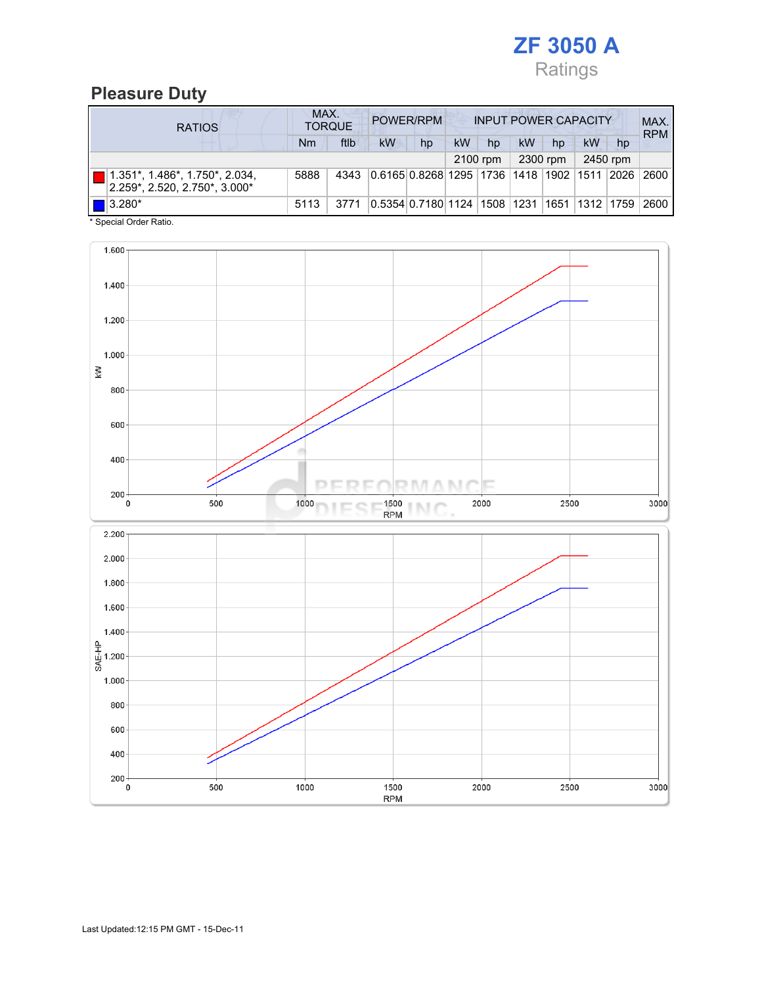

#### Pleasure Duty

| <b>RATIOS</b>                                                                  | MAX.<br>POWER/RPM<br><b>TORQUE</b> |      |                                   |                                | <b>INPUT POWER CAPACITY</b> |          |    |          |    |                    | MAX.<br><b>RPM</b> |
|--------------------------------------------------------------------------------|------------------------------------|------|-----------------------------------|--------------------------------|-----------------------------|----------|----|----------|----|--------------------|--------------------|
|                                                                                | Nm                                 | ftlb | <b>kW</b>                         | hp                             | <b>kW</b>                   | hp       | kW | hp       | kW | hp                 |                    |
|                                                                                |                                    |      |                                   |                                |                             | 2100 rpm |    | 2300 rpm |    | 2450 rpm           |                    |
| $1.351^*$ , $1.486^*$ , $1.750^*$ , $2.034$ ,<br>2.259*, 2.520, 2.750*, 3.000* | 5888                               | 4343 | 0.6165 0.8268 1295 1736 1418 1902 |                                |                             |          |    |          |    | 1511 2026          | 2600               |
| $\blacksquare$ 3.280*                                                          | 5113                               | 3771 |                                   | 0.5354 0.7180 1124  1508  1231 |                             |          |    |          |    | 1651   1312   1759 | 2600               |

\* Special Order Ratio.

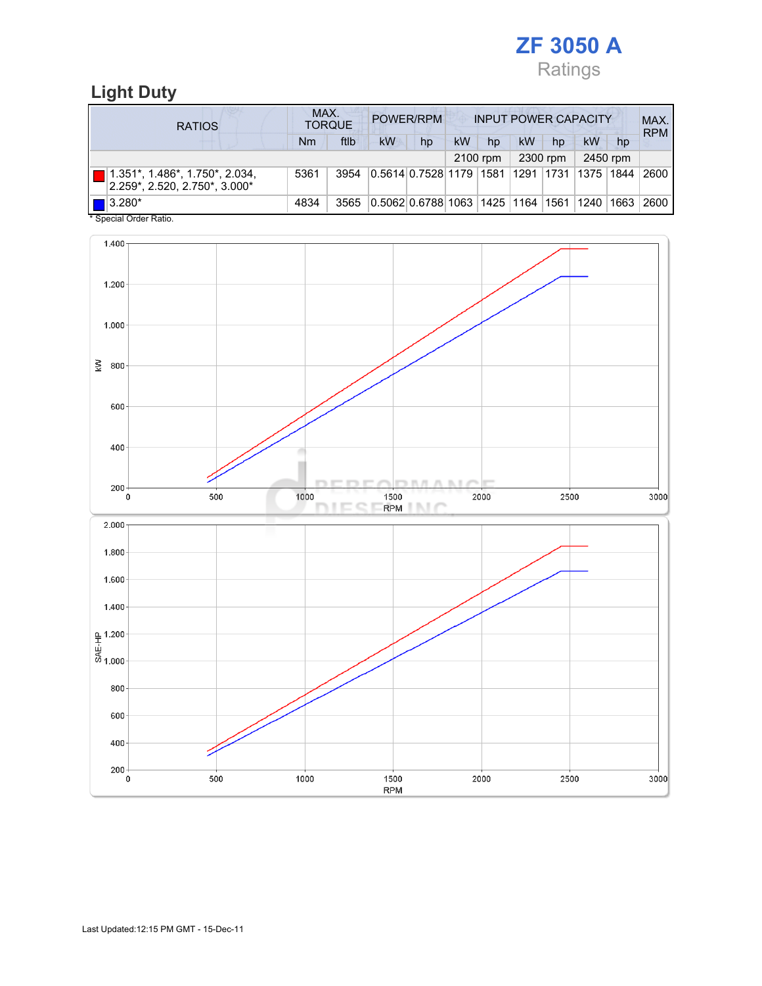

### Light Duty

| <b>RATIOS</b>                                                      | MAX.<br><b>TORQUE</b> | POWER/RPM<br><b>INPUT POWER CAPACITY</b> |                                                  |    |          |    |    | MAX.<br><b>RPM</b> |    |          |      |
|--------------------------------------------------------------------|-----------------------|------------------------------------------|--------------------------------------------------|----|----------|----|----|--------------------|----|----------|------|
|                                                                    | Nm                    | ftlb                                     | kW                                               | hp | kW       | hp | kW | hp                 | kW | hp       |      |
|                                                                    |                       |                                          |                                                  |    | 2100 rpm |    |    | 2300 rpm           |    | 2450 rpm |      |
| 1.351*, 1.486*, 1.750*, 2.034,<br>$2.259$ *, 2.520, 2.750*, 3.000* | 5361                  | 3954                                     | 0.5614 0.7528 1179  1581  1291  1731  1375  1844 |    |          |    |    |                    |    |          | 2600 |
| $\blacksquare$ 3.280*<br>$*$ On a simil Onder Definition           | 4834                  | 3565                                     | 0.5062 0.6788 1063 1425 1164 1561 1240           |    |          |    |    |                    |    | 1663     | 2600 |

Special Order Ratio.

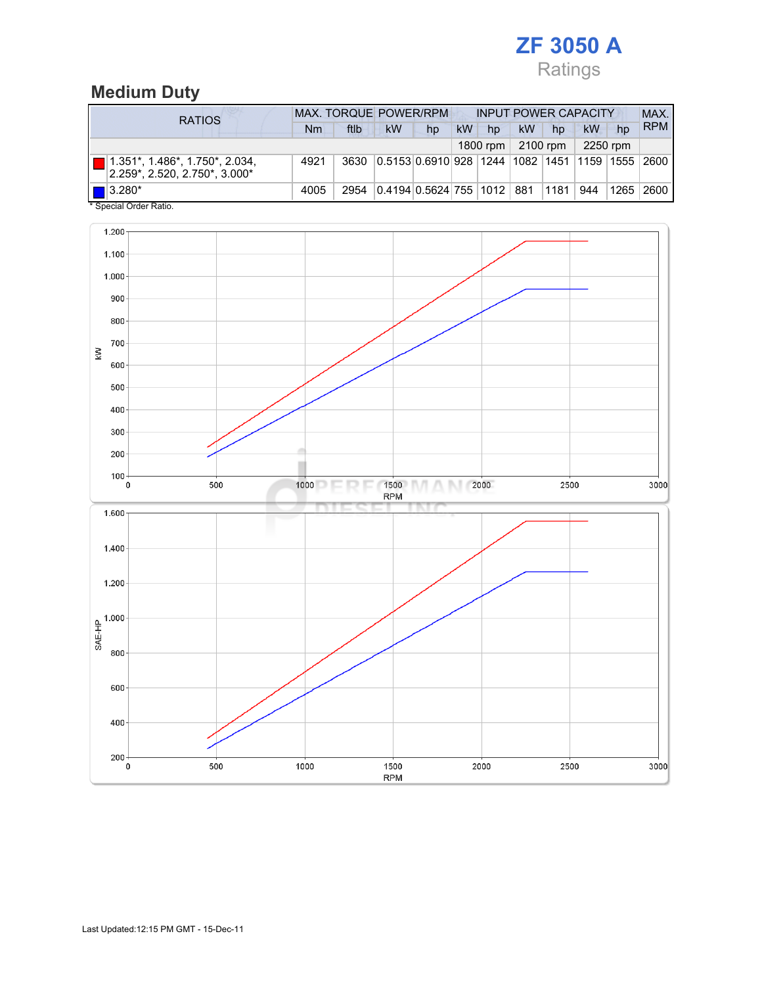## ZF 3050 A Ratings

### Medium Duty

| <b>RATIOS</b>                                                       | <b>MAX. TORQUE POWER/RPM</b> |      |                                                       |    | <b>INPUT POWER CAPACITY</b> |          |    |          |          |    | MAX.        |
|---------------------------------------------------------------------|------------------------------|------|-------------------------------------------------------|----|-----------------------------|----------|----|----------|----------|----|-------------|
|                                                                     | Nm                           | ftlb | kW                                                    | hp | <b>kW</b>                   | hp       | kW | hp       | kW       | hp | <b>RPM</b>  |
|                                                                     |                              |      |                                                       |    |                             | 1800 rpm |    | 2100 rpm | 2250 rpm |    |             |
| 1.351*, 1.486*, 1.750*, 2.034,<br>$ 2.259$ *, 2.520, 2.750*, 3.000* | 4921                         | 3630 | 0.5153 0.6910 928  1244  1082  1451  1159  1555  2600 |    |                             |          |    |          |          |    |             |
| $\blacksquare$ 3.280*<br>* Concoial Order Patio                     | 4005                         | 2954 | 0.4194 0.5624 755  1012   881                         |    |                             |          |    | 1181     | 944      |    | 1265   2600 |

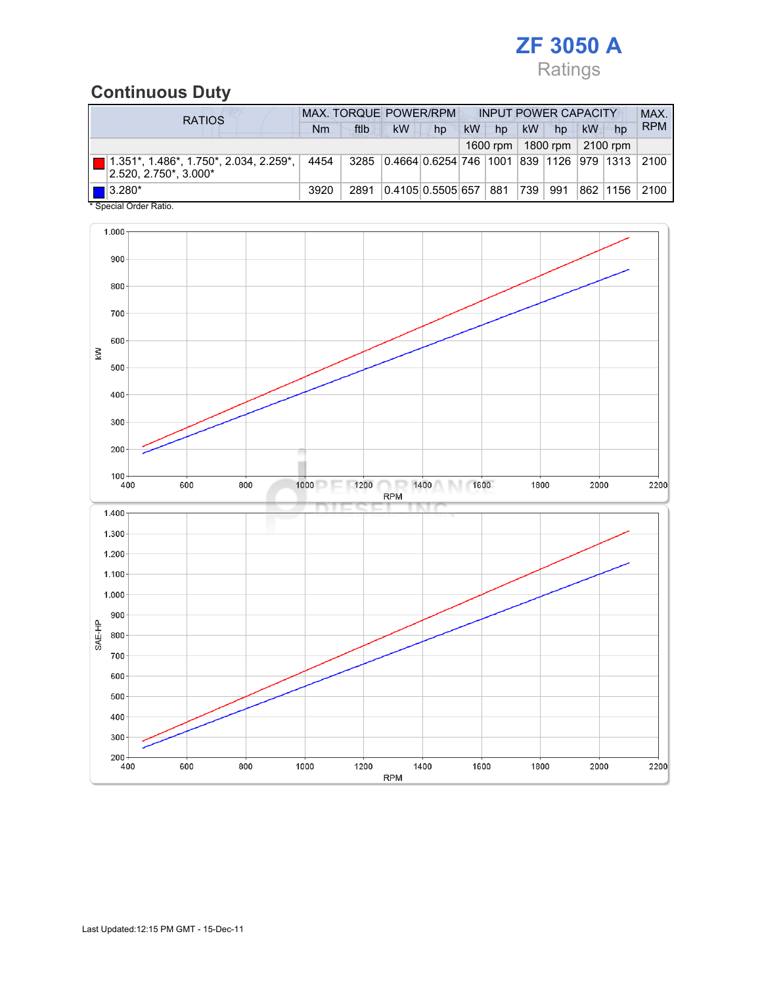## ZF 3050 A Ratings

## Continuous Duty

| <b>RATIOS</b>                                                                  |      | <b>MAX. TORQUE POWER/RPM</b> |                                                    | <b>INPUT POWER CAPACITY</b> |           |          |           |          | MAX. |            |            |
|--------------------------------------------------------------------------------|------|------------------------------|----------------------------------------------------|-----------------------------|-----------|----------|-----------|----------|------|------------|------------|
|                                                                                | Nm   | ftlb                         | <b>kW</b>                                          | hp                          | <b>kW</b> | hp       | <b>kW</b> | hp       | kW   | hp         | <b>RPM</b> |
|                                                                                |      |                              |                                                    |                             |           | 1600 rpm |           | 1800 rpm |      | 2100 rpm   |            |
| $  $ 1.351*, 1.486*, 1.750*, 2.034, 2.259*, $  $<br>$ 2.520, 2.750^*$ , 3.000* | 4454 |                              | 3285 0.4664 0.6254 746 1001 839 1126 979 1313 2100 |                             |           |          |           |          |      |            |            |
| $\blacksquare$ 3.280*<br>* Concial Order Patio                                 | 3920 | 2891                         | 0.4105 0.5505 657                                  |                             |           | 881      | 739       | 991      |      | 862 1156 1 | 2100       |

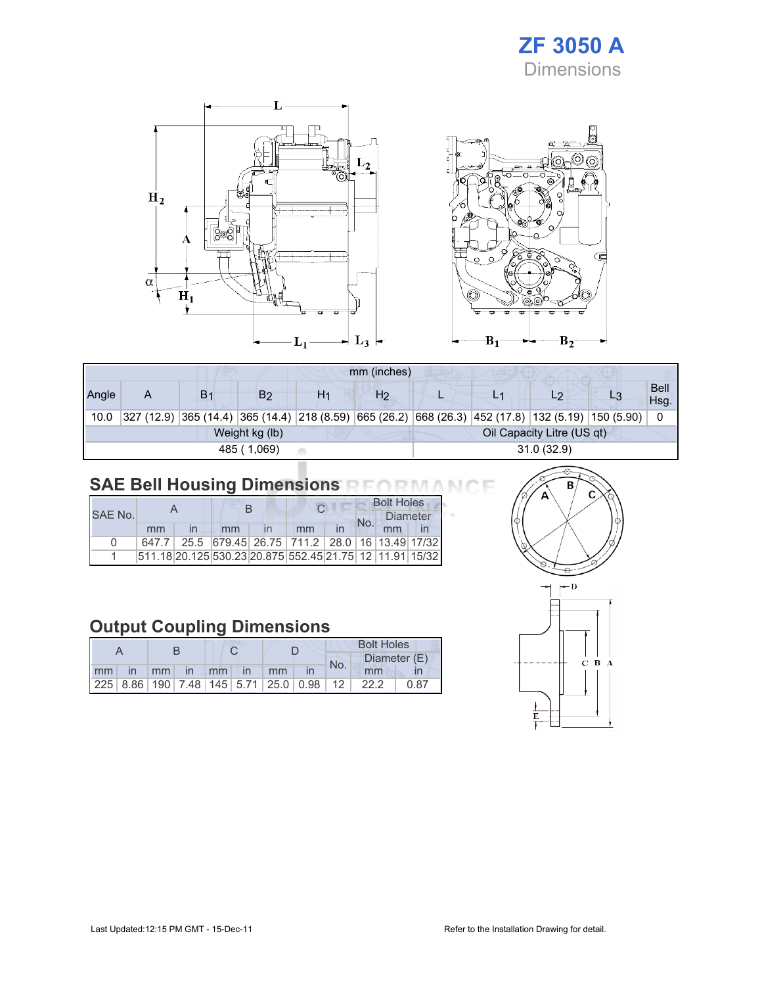### ZF 3050 A Dimensions



|       | mm (inches)                                  |                |    |    |                |  |  |                                                                                                      |  |                     |
|-------|----------------------------------------------|----------------|----|----|----------------|--|--|------------------------------------------------------------------------------------------------------|--|---------------------|
| Angle | A                                            | B <sub>1</sub> | B2 | H1 | H <sub>2</sub> |  |  | L <sub>2</sub>                                                                                       |  | <b>Bell</b><br>Hsg. |
| 10.0  |                                              |                |    |    |                |  |  | $327$ (12.9) 365 (14.4) 365 (14.4) 218 (8.59) 665 (26.2) 668 (26.3) 452 (17.8) 132 (5.19) 150 (5.90) |  | 0                   |
|       | Oil Capacity Litre (US qt)<br>Weight kg (lb) |                |    |    |                |  |  |                                                                                                      |  |                     |
|       | 31.0(32.9)<br>485 (1.069)                    |                |    |    |                |  |  |                                                                                                      |  |                     |

### SAE Bell Housing Dimensions RFORMANCE

|              |       |  |    |  |                                                                 |  | <b>Bolt Holes</b> |          |  |  |
|--------------|-------|--|----|--|-----------------------------------------------------------------|--|-------------------|----------|--|--|
| SAF No.      |       |  |    |  |                                                                 |  |                   | Diameter |  |  |
|              | mm    |  | mm |  | mm                                                              |  |                   |          |  |  |
| <sup>n</sup> | 647.7 |  |    |  | 25.5 679.45 26.75 711.2 28.0 16 13.49 17/32                     |  |                   |          |  |  |
|              |       |  |    |  | 511.18 20.125 530.23 20.875  552.45  21.75   12   11.91   15/32 |  |                   |          |  |  |

### Output Coupling Dimensions

|    |              |    |                   |    |               |                                                         | <b>Bolt Holes</b> |      |              |  |  |
|----|--------------|----|-------------------|----|---------------|---------------------------------------------------------|-------------------|------|--------------|--|--|
|    |              |    |                   |    |               |                                                         | No.               |      | Diameter (E) |  |  |
| mm | $\mathsf{I}$ | mm | $\blacksquare$ In | mm | $\mathsf{In}$ | mm                                                      |                   | mm   |              |  |  |
|    |              |    |                   |    |               | 225   8.86   190   7.48   145   5.71   25.0   0.98   12 |                   | 22.2 | 0.87         |  |  |